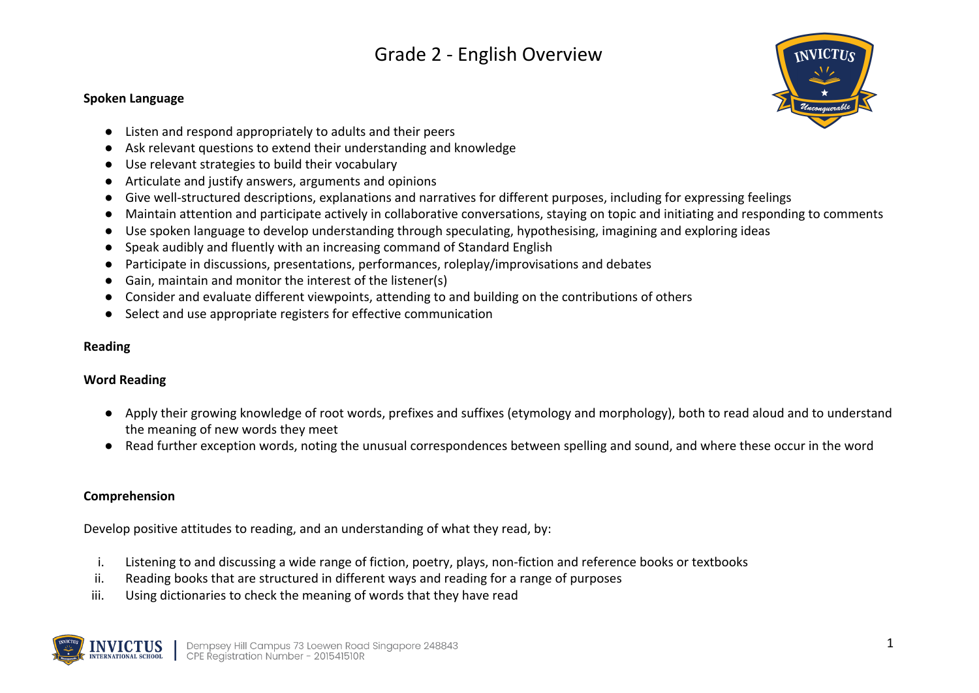#### **Spoken Language**



- Listen and respond appropriately to adults and their peers
- Ask relevant questions to extend their understanding and knowledge
- Use relevant strategies to build their vocabulary
- Articulate and justify answers, arguments and opinions
- Give well-structured descriptions, explanations and narratives for different purposes, including for expressing feelings
- Maintain attention and participate actively in collaborative conversations, staying on topic and initiating and responding to comments
- Use spoken language to develop understanding through speculating, hypothesising, imagining and exploring ideas
- Speak audibly and fluently with an increasing command of Standard English
- Participate in discussions, presentations, performances, roleplay/improvisations and debates
- Gain, maintain and monitor the interest of the listener(s)
- Consider and evaluate different viewpoints, attending to and building on the contributions of others
- Select and use appropriate registers for effective communication

#### **Reading**

#### **Word Reading**

- Apply their growing knowledge of root words, prefixes and suffixes (etymology and morphology), both to read aloud and to understand the meaning of new words they meet
- Read further exception words, noting the unusual correspondences between spelling and sound, and where these occur in the word

#### **Comprehension**

Develop positive attitudes to reading, and an understanding of what they read, by:

- i. Listening to and discussing a wide range of fiction, poetry, plays, non-fiction and reference books or textbooks
- ii. Reading books that are structured in different ways and reading for a range of purposes
- iii. Using dictionaries to check the meaning of words that they have read

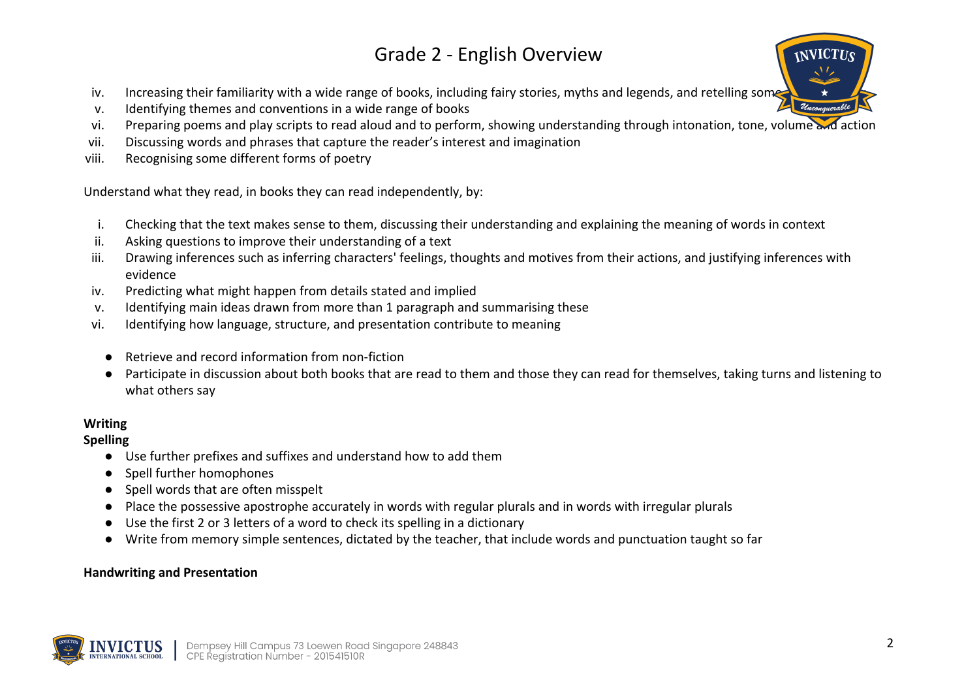- iv. Increasing their familiarity with a wide range of books, including fairy stories, myths and legends, and retelling some
- v. Identifying themes and conventions in a wide range of books
- vi. Preparing poems and play scripts to read aloud and to perform, showing understanding through intonation, tone, volume and action
- vii. Discussing words and phrases that capture the reader's interest and imagination
- viii. Recognising some different forms of poetry

Understand what they read, in books they can read independently, by:

- i. Checking that the text makes sense to them, discussing their understanding and explaining the meaning of words in context
- ii. Asking questions to improve their understanding of a text
- iii. Drawing inferences such as inferring characters' feelings, thoughts and motives from their actions, and justifying inferences with evidence
- iv. Predicting what might happen from details stated and implied
- v. Identifying main ideas drawn from more than 1 paragraph and summarising these
- vi. Identifying how language, structure, and presentation contribute to meaning
	- Retrieve and record information from non-fiction
	- Participate in discussion about both books that are read to them and those they can read for themselves, taking turns and listening to what others say

## **Writing**

## **Spelling**

- Use further prefixes and suffixes and understand how to add them
- Spell further homophones
- Spell words that are often misspelt
- Place the possessive apostrophe accurately in words with regular plurals and in words with irregular plurals
- Use the first 2 or 3 letters of a word to check its spelling in a dictionary
- Write from memory simple sentences, dictated by the teacher, that include words and punctuation taught so far

### **Handwriting and Presentation**

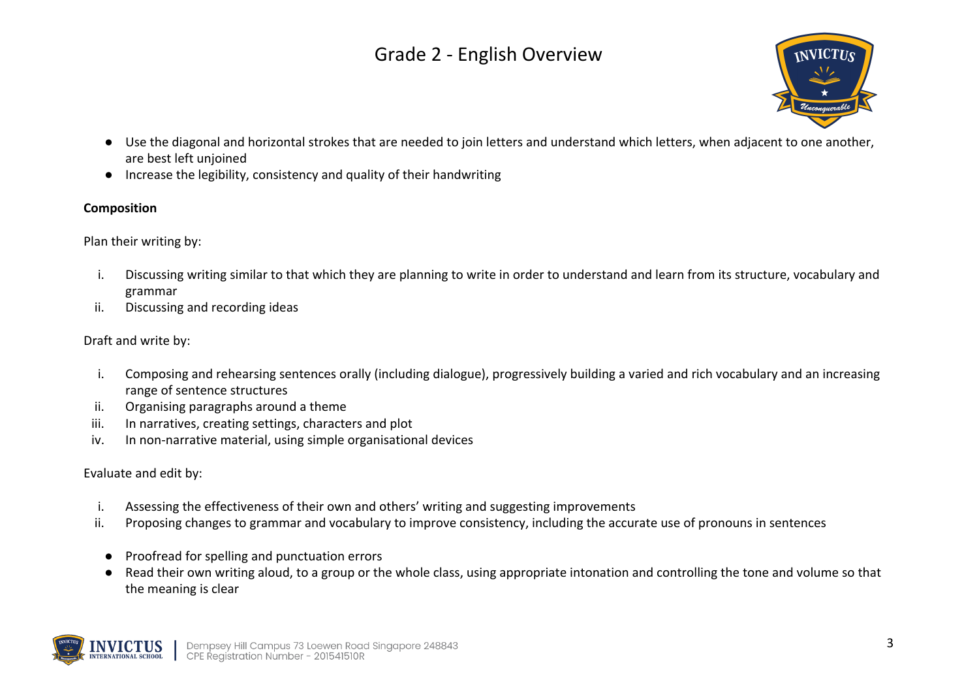

- Use the diagonal and horizontal strokes that are needed to join letters and understand which letters, when adjacent to one another, are best left unjoined
- Increase the legibility, consistency and quality of their handwriting

### **Composition**

Plan their writing by:

- i. Discussing writing similar to that which they are planning to write in order to understand and learn from its structure, vocabulary and grammar
- ii. Discussing and recording ideas

### Draft and write by:

- i. Composing and rehearsing sentences orally (including dialogue), progressively building a varied and rich vocabulary and an increasing range of sentence structures
- ii. Organising paragraphs around a theme
- iii. In narratives, creating settings, characters and plot
- iv. In non-narrative material, using simple organisational devices

Evaluate and edit by:

- i. Assessing the effectiveness of their own and others' writing and suggesting improvements
- ii. Proposing changes to grammar and vocabulary to improve consistency, including the accurate use of pronouns in sentences
- Proofread for spelling and punctuation errors
- Read their own writing aloud, to a group or the whole class, using appropriate intonation and controlling the tone and volume so that the meaning is clear